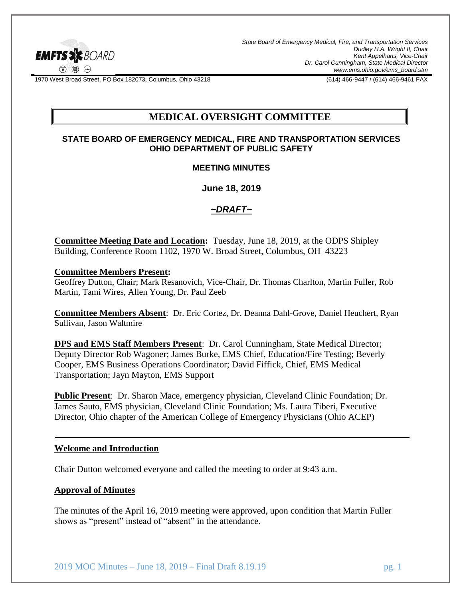

*State Board of Emergency Medical, Fire, and Transportation Services Dudley H.A. Wright II, Chair Kent Appelhans, Vice-Chair Dr. Carol Cunningham, State Medical Director www.ems.ohio.gov/ems\_board.stm*

1970 West Broad Street, PO Box 182073, Columbus, Ohio 43218 (614) 466-9447 / (614) 466-9461 FAX

# **MEDICAL OVERSIGHT COMMITTEE**

### **STATE BOARD OF EMERGENCY MEDICAL, FIRE AND TRANSPORTATION SERVICES OHIO DEPARTMENT OF PUBLIC SAFETY**

#### **MEETING MINUTES**

**June 18, 2019**

### *~DRAFT~*

**Committee Meeting Date and Location:** Tuesday, June 18, 2019, at the ODPS Shipley Building, Conference Room 1102, 1970 W. Broad Street, Columbus, OH 43223

#### **Committee Members Present:**

Geoffrey Dutton, Chair; Mark Resanovich, Vice-Chair, Dr. Thomas Charlton, Martin Fuller, Rob Martin, Tami Wires, Allen Young, Dr. Paul Zeeb

**Committee Members Absent**: Dr. Eric Cortez, Dr. Deanna Dahl-Grove, Daniel Heuchert, Ryan Sullivan, Jason Waltmire

**DPS and EMS Staff Members Present**: Dr. Carol Cunningham, State Medical Director; Deputy Director Rob Wagoner; James Burke, EMS Chief, Education/Fire Testing; Beverly Cooper, EMS Business Operations Coordinator; David Fiffick, Chief, EMS Medical Transportation; Jayn Mayton, EMS Support

**Public Present**: Dr. Sharon Mace, emergency physician, Cleveland Clinic Foundation; Dr. James Sauto, EMS physician, Cleveland Clinic Foundation; Ms. Laura Tiberi, Executive Director, Ohio chapter of the American College of Emergency Physicians (Ohio ACEP)

# **Welcome and Introduction**

Chair Dutton welcomed everyone and called the meeting to order at 9:43 a.m.

# **Approval of Minutes**

The minutes of the April 16, 2019 meeting were approved, upon condition that Martin Fuller shows as "present" instead of "absent" in the attendance.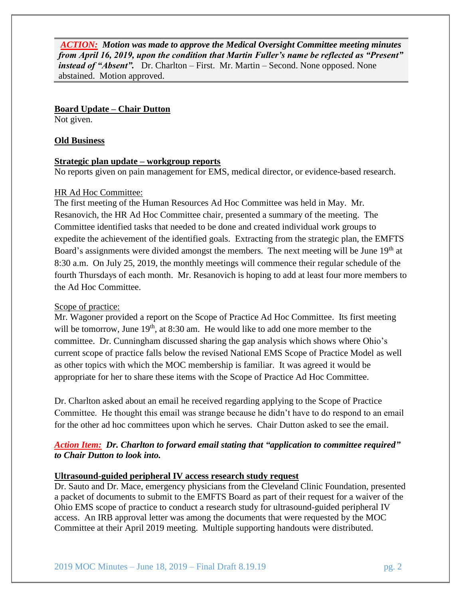*ACTION: Motion was made to approve the Medical Oversight Committee meeting minutes from April 16, 2019, upon the condition that Martin Fuller's name be reflected as "Present" instead of "Absent".* Dr. Charlton – First. Mr. Martin – Second. None opposed. None abstained. Motion approved.

**Board Update – Chair Dutton**

Not given.

### **Old Business**

### **Strategic plan update – workgroup reports**

No reports given on pain management for EMS, medical director, or evidence-based research.

### HR Ad Hoc Committee:

The first meeting of the Human Resources Ad Hoc Committee was held in May. Mr. Resanovich, the HR Ad Hoc Committee chair, presented a summary of the meeting. The Committee identified tasks that needed to be done and created individual work groups to expedite the achievement of the identified goals. Extracting from the strategic plan, the EMFTS Board's assignments were divided amongst the members. The next meeting will be June 19<sup>th</sup> at 8:30 a.m. On July 25, 2019, the monthly meetings will commence their regular schedule of the fourth Thursdays of each month. Mr. Resanovich is hoping to add at least four more members to the Ad Hoc Committee.

#### Scope of practice:

Mr. Wagoner provided a report on the Scope of Practice Ad Hoc Committee. Its first meeting will be tomorrow, June  $19<sup>th</sup>$ , at 8:30 am. He would like to add one more member to the committee. Dr. Cunningham discussed sharing the gap analysis which shows where Ohio's current scope of practice falls below the revised National EMS Scope of Practice Model as well as other topics with which the MOC membership is familiar. It was agreed it would be appropriate for her to share these items with the Scope of Practice Ad Hoc Committee.

Dr. Charlton asked about an email he received regarding applying to the Scope of Practice Committee. He thought this email was strange because he didn't have to do respond to an email for the other ad hoc committees upon which he serves. Chair Dutton asked to see the email.

# *Action Item: Dr. Charlton to forward email stating that "application to committee required" to Chair Dutton to look into.*

### **Ultrasound-guided peripheral IV access research study request**

Dr. Sauto and Dr. Mace, emergency physicians from the Cleveland Clinic Foundation, presented a packet of documents to submit to the EMFTS Board as part of their request for a waiver of the Ohio EMS scope of practice to conduct a research study for ultrasound-guided peripheral IV access. An IRB approval letter was among the documents that were requested by the MOC Committee at their April 2019 meeting. Multiple supporting handouts were distributed.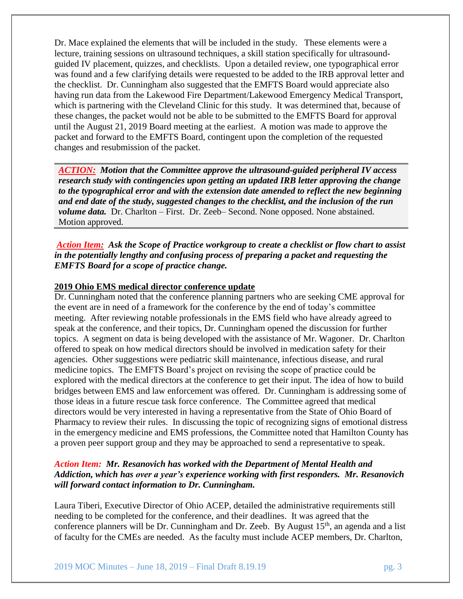Dr. Mace explained the elements that will be included in the study. These elements were a lecture, training sessions on ultrasound techniques, a skill station specifically for ultrasoundguided IV placement, quizzes, and checklists. Upon a detailed review, one typographical error was found and a few clarifying details were requested to be added to the IRB approval letter and the checklist. Dr. Cunningham also suggested that the EMFTS Board would appreciate also having run data from the Lakewood Fire Department/Lakewood Emergency Medical Transport, which is partnering with the Cleveland Clinic for this study. It was determined that, because of these changes, the packet would not be able to be submitted to the EMFTS Board for approval until the August 21, 2019 Board meeting at the earliest. A motion was made to approve the packet and forward to the EMFTS Board, contingent upon the completion of the requested changes and resubmission of the packet.

*ACTION: Motion that the Committee approve the ultrasound-guided peripheral IV access research study with contingencies upon getting an updated IRB letter approving the change to the typographical error and with the extension date amended to reflect the new beginning and end date of the study, suggested changes to the checklist, and the inclusion of the run volume data.* Dr. Charlton – First. Dr. Zeeb– Second. None opposed. None abstained. Motion approved.

*Action Item:**Ask the Scope of Practice workgroup to create a checklist or flow chart to assist in the potentially lengthy and confusing process of preparing a packet and requesting the EMFTS Board for a scope of practice change.* 

### **2019 Ohio EMS medical director conference update**

Dr. Cunningham noted that the conference planning partners who are seeking CME approval for the event are in need of a framework for the conference by the end of today's committee meeting. After reviewing notable professionals in the EMS field who have already agreed to speak at the conference, and their topics, Dr. Cunningham opened the discussion for further topics. A segment on data is being developed with the assistance of Mr. Wagoner. Dr. Charlton offered to speak on how medical directors should be involved in medication safety for their agencies. Other suggestions were pediatric skill maintenance, infectious disease, and rural medicine topics. The EMFTS Board's project on revising the scope of practice could be explored with the medical directors at the conference to get their input. The idea of how to build bridges between EMS and law enforcement was offered. Dr. Cunningham is addressing some of those ideas in a future rescue task force conference. The Committee agreed that medical directors would be very interested in having a representative from the State of Ohio Board of Pharmacy to review their rules. In discussing the topic of recognizing signs of emotional distress in the emergency medicine and EMS professions, the Committee noted that Hamilton County has a proven peer support group and they may be approached to send a representative to speak.

# *Action Item: Mr. Resanovich has worked with the Department of Mental Health and Addiction, which has over a year's experience working with first responders. Mr. Resanovich will forward contact information to Dr. Cunningham.*

Laura Tiberi, Executive Director of Ohio ACEP, detailed the administrative requirements still needing to be completed for the conference, and their deadlines. It was agreed that the conference planners will be Dr. Cunningham and Dr. Zeeb. By August 15<sup>th</sup>, an agenda and a list of faculty for the CMEs are needed. As the faculty must include ACEP members, Dr. Charlton,